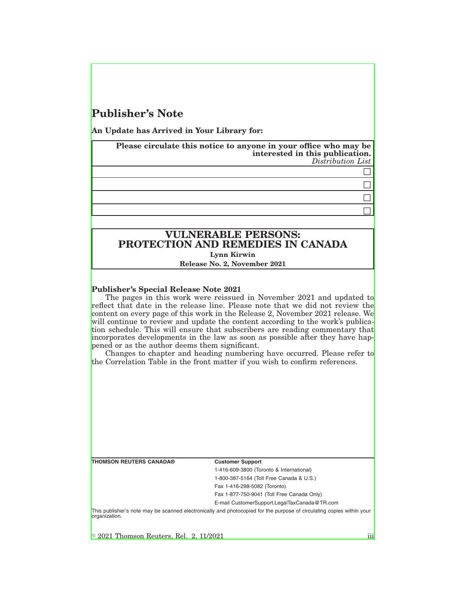## **Publisher's Note**

**An Update has Arrived in Your Library for:**

**Please circulate this notice to anyone in your office who may be interested in this publication.** *Distribution List*

## $\Box$  $\Box$

 $\Box$  $\Box$ 

# **VULNERABLE PERSONS: PROTECTION AND REMEDIES IN CANADA Lynn Kirwin**

**Release No. 2, November 2021**

## **Publisher's Special Release Note 2021**

The pages in this work were reissued in November 2021 and updated to reflect that date in the release line. Please note that we did not review the content on every page of this work in the Release 2, November 2021 release. We will continue to review and update the content according to the work's publication schedule. This will ensure that subscribers are reading commentary that incorporates developments in the law as soon as possible after they have happened or as the author deems them significant.

Changes to chapter and heading numbering have occurred. Please refer to the Correlation Table in the front matter if you wish to confirm references.

#### **Customer Support**

1-416-609-3800 (Toronto & International) 1-800-387-5164 (Toll Free Canada & U.S.)

Fax 1-416-298-5082 (Toronto)

Fax 1-877-750-9041 (Toll Free Canada Only)

E-mail CustomerSupport.LegalTaxCanada@TR.com

This publisher's note may be scanned electronically and photocopied for the purpose of circulating copies within your organization.

 $\textcircled{\textdegree}$  2021 Thomson Reuters, Rel. 2, 11/2021 iiii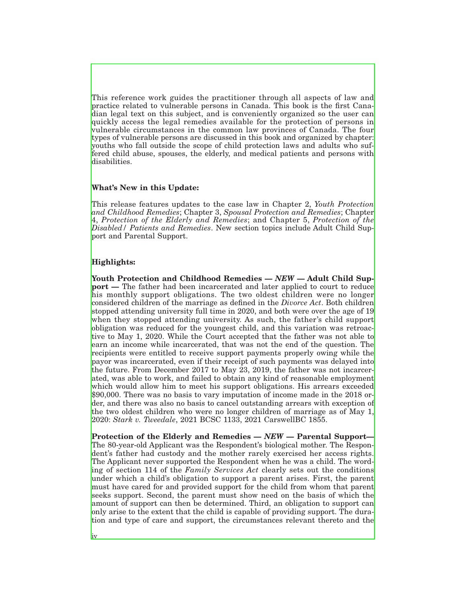This reference work guides the practitioner through all aspects of law and practice related to vulnerable persons in Canada. This book is the first Canadian legal text on this subject, and is conveniently organized so the user can quickly access the legal remedies available for the protection of persons in vulnerable circumstances in the common law provinces of Canada. The four types of vulnerable persons are discussed in this book and organized by chapter: youths who fall outside the scope of child protection laws and adults who suffered child abuse, spouses, the elderly, and medical patients and persons with disabilities.

### **What's New in this Update:**

This release features updates to the case law in Chapter 2, *Youth Protection and Childhood Remedies*; Chapter 3, *Spousal Protection and Remedies*; Chapter 4, *Protection of the Elderly and Remedies*; and Chapter 5, *Protection of the Disabled/ Patients and Remedies*. New section topics include Adult Child Support and Parental Support.

### **Highlights:**

iv

**Youth Protection and Childhood Remedies —** *NEW* **— Adult Child Support** — The father had been incarcerated and later applied to court to reduce his monthly support obligations. The two oldest children were no longer considered children of the marriage as defined in the *Divorce Act*. Both children stopped attending university full time in 2020, and both were over the age of 19 when they stopped attending university. As such, the father's child support obligation was reduced for the youngest child, and this variation was retroactive to May 1, 2020. While the Court accepted that the father was not able to earn an income while incarcerated, that was not the end of the question. The recipients were entitled to receive support payments properly owing while the payor was incarcerated, even if their receipt of such payments was delayed into the future. From December 2017 to May 23, 2019, the father was not incarcerated, was able to work, and failed to obtain any kind of reasonable employment which would allow him to meet his support obligations. His arrears exceeded \$90,000. There was no basis to vary imputation of income made in the 2018 order, and there was also no basis to cancel outstanding arrears with exception of the two oldest children who were no longer children of marriage as of May 1, 2020: *Stark v. Tweedale*, 2021 BCSC 1133, 2021 CarswellBC 1855.

**Protection of the Elderly and Remedies —** *NEW* **— Parental Support—** The 80-year-old Applicant was the Respondent's biological mother. The Respondent's father had custody and the mother rarely exercised her access rights. The Applicant never supported the Respondent when he was a child. The wording of section 114 of the *Family Services Act* clearly sets out the conditions under which a child's obligation to support a parent arises. First, the parent must have cared for and provided support for the child from whom that parent seeks support. Second, the parent must show need on the basis of which the amount of support can then be determined. Third, an obligation to support can only arise to the extent that the child is capable of providing support. The duration and type of care and support, the circumstances relevant thereto and the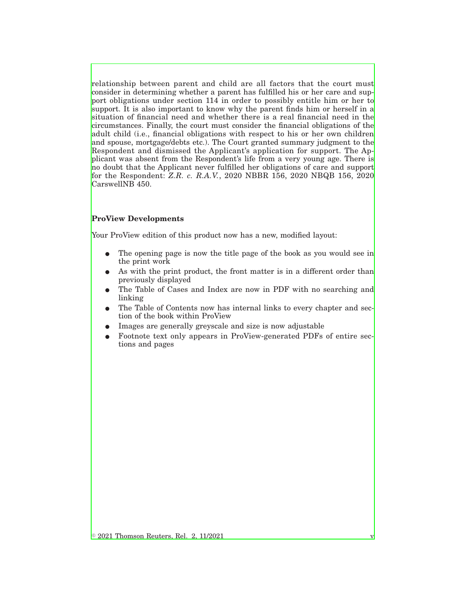relationship between parent and child are all factors that the court must consider in determining whether a parent has fulfilled his or her care and support obligations under section 114 in order to possibly entitle him or her to support. It is also important to know why the parent finds him or herself in a situation of financial need and whether there is a real financial need in the circumstances. Finally, the court must consider the financial obligations of the adult child (i.e., financial obligations with respect to his or her own children and spouse, mortgage/debts etc.). The Court granted summary judgment to the Respondent and dismissed the Applicant's application for support. The Applicant was absent from the Respondent's life from a very young age. There is no doubt that the Applicant never fulfilled her obligations of care and support for the Respondent: *Z.R. c. R.A.V.*, 2020 NBBR 156, 2020 NBQB 156, 2020 CarswellNB 450.

## **ProView Developments**

Your ProView edition of this product now has a new, modified layout:

- The opening page is now the title page of the book as you would see in the print work
- As with the print product, the front matter is in a different order than previously displayed
- The Table of Cases and Index are now in PDF with no searching and linking
- The Table of Contents now has internal links to every chapter and section of the book within ProView
- E Images are generally greyscale and size is now adjustable
- E Footnote text only appears in ProView-generated PDFs of entire sections and pages